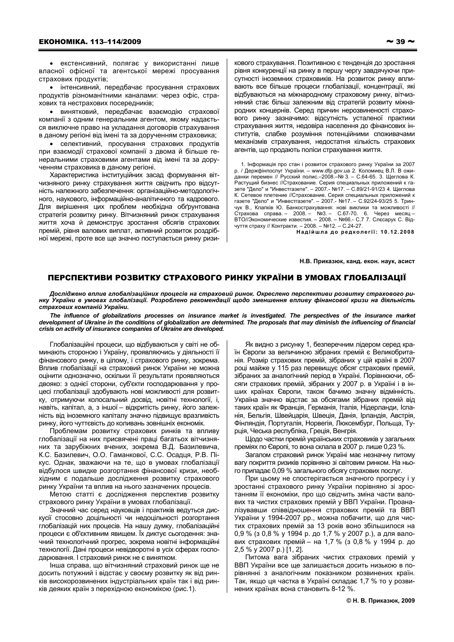• екстенсивний, полягає у використанні лише власної офісної та агентської мережі просування страхових продуктів;

• інтенсивний, передбачає просування страхових продуктів різноманітними каналами: через офіс, страхових та нестрахових посередників;

• винятковий, передбачає взаємодію страхової компанії з одним генеральним агентом, якому надається виключне право на укладання договорів страхування в даному регіоні від імені та за дорученням страховика;

• селективний. просування страхових продуктів при взаємодії страхової компанії з двома й більше генеральними страховими агентами від імені та за дорученням страховика в даному регіоні.

Характеристика інституційних засад формування вітчизняного ринку страхування життя свідчить про відсутність належного забезпечення: організаційно-методологічного, наукового, інформаційно-аналітичного та кадрового. Для вирішення цих проблем необхідна обґрунтована стратегія розвитку ринку. Вітчизняний ринок страхування життя хоча й демонструє зростання обсягів страхових премій, рівня валових виплат, активний розвиток роздрібної мережі, проте все ще значно поступається ринку ризикового страхування. Позитивною є тенденція до зростання рівня конкуренції на ринку в першу чергу завдячуючи присутності іноземних страховиків. На розвиток ринку впливають все більше процеси глобалізації, концентрації, які відбуваються на міжнародному страховому ринку, вітчизняний стає більш залежним від стратегій розвиту міжнародних концернів. Серед причин нерозвиненості страхового ринку зазначимо: відсутність усталеної практики страхування життя, недовіра населення до фінансових інститутів, слабке розуміння потенційними споживачами механізмів страхування, недостатня кількість страхових агентів, що продають поліси страхування життя.

1. Інформація про стан і розвиток страхового ринку України за 2007 р. / Держфінпослуг України. - www.dfp.gov.ua 2. Коломиец В.Л. В ожиданки перемен // Русский полис.-2008.-№ 3. - С.64-65. 3. Щеглова К. Растущий бизнес //Страхование. Серия специальных приложений к газете "Дело" и "Инвестгазете". - 2007.- №17. - С.89/21-91/23 4. Щеглова к. Сетевое плетение //Страхование. Серия специальных приложений к<br>пазете "Дело" и "Инвестгазете". – 2007.- №17. – С.92/24-93/25 5. Тринчук В., Клапків Ю. Банкострахування: нові виклики та можливості // Страхова справа. - 2008. - №3. - С.67-70. 6. Через месяц -ВТО//Экономические известия. - 2008. - №66.- С.7 7. Слесарук С. Відчуття страху // Контракти. - 2008. - №12. - С.24-27. Надійшла до редколегії: 10.12.2008

Н.В. Приказюк, канд. екон. наук, асист

## ПЕРСПЕКТИВИ РОЗВИТКУ СТРАХОВОГО РИНКУ УКРАЇНИ В УМОВАХ ГЛОБАЛІЗАЦІЇ

Досліджено вплив глобалізаційних процесів на страховий ринок. Окреслено перспективи розвитку страхового ринку України в умовах глобалізації. Розроблено рекомендації щодо зменшення впливу фінансової кризи на діяльність страхових компаній України.

The influence of globalizations processes on insurance market is investigated. The perspectives of the insurance market development of Ukraine in the conditions of globalization are determined. The proposals that may diminish the influencing of financial<br>crisis on activity of insurance companies of Ukraine are developed.

Глобалізаційні процеси, що відбуваються у світі не обминають стороною і Україну, проявляючись у діяльності її фінансового ринку, в цілому, і страхового ринку, зокрема. Вплив глобалізації на страховий ринок України не можна оцінити однозначно, оскільки її результати проявляються двояко: з однієї сторони, суб'єкти господарювання у процесі глобалізації здобувають нові можливості для розвитку, отримуючи колосальний досвід, новітні технології, і, навіть, капітал, а, з іншої - відкритість ринку, його залежність від іноземного капіталу значно підвищує вразливість ринку, його чуттєвість до коливань зовнішніх економік.

Проблемам розвитку страхових ринків та впливу глобалізації на них присвячені праці багатьох вітчизняних та зарубіжних вчених, зокрема В.Д. Базилевича, К.С. Базилевич, О.О. Гаманкової, С.С. Осадця, Р.В. Пікус. Однак, зважаючи на те, що в умовах глобалізації відбулося швидке розгортання фінансової кризи, необхідним є подальше дослідження розвитку страхового ринку України та вплив на нього зазначених процесів.

Метою статті є дослідження перспектив розвитку страхового ринку України в умовах глобалізації.

Значний час серед науковців і практиків ведуться дискусії стосовно доцільності чи недоцільності розгортання глобалізацій них процесів. На нашу думку, глобалізаційні процеси є об'єктивним явищем. Їх диктує сьогодення: значний технологічний прогрес, зокрема новітні інформаційні технології. Дані процеси невідворотні в усіх сферах господарювання. І страховий ринок не є винятком.

Інша справа, що вітчизняний страховий ринок ще не досить потужний і відстає у своєму розвитку як від ринків високорозвинених індустріальних країн так і від ринків деяких країн з перехідною економікою (рис.1).

Як видно з рисунку 1, безперечним лідером серед країн Європи за величиною зібраних премій є Великобританія. Розмір страхових премій, зібраних у цій країні в 2007 році майже у 115 раз перевищує обсяг страхових премій, зібраних за аналогічний період в Україні. Порівнюючи, обсяги страхових премій, зібраних у 2007 р. в Україні і в інших країнах Європи. також бачимо значну відмінність. Україна значно відстає за обсягами зібраних премій від таких країн як Франція, Германія, Італія, Нідерланди, Іспанія, Бельгія, Швейцарія, Швеція, Данія, Ірландія, Австрія, Фінляндія, Португалія, Норвегія, Люксембург, Польща, Турція, Чеська республіка, Греція, Венгрія.

Шодо частки премій українських страховиків у загальних преміях по Європі, то вона склала в 2007 р. лише 0,23 %.

Загалом страховий ринок Україні має незначну питому вагу покриття ризиків порівняно зі світовим ринком. На нього припадає 0,09 % загального обсягу страхових послуг.

При цьому не спостерігається значного прогресу і у зростанні страхового ринку України порівняно зі зростанням її економіки, про що свідчить зміна части валових та чистих страхових премій у ВВП України. Проаналізувавши співвідношення страхових премій та ВВП України у 1994-2007 рр., можна побачити, що для чистих страхових премій за 13 років воно збільшилося на 0,9 % (з 0,8 % у 1994 р. до 1,7 % у 2007 р.), а для валових страхових премій - на 1,7 % (з 0,8 % у 1994 р. до 2.5 % y 2007 p.) [1, 2].

Питома вага зібраних чистих страхових премій у ВВП України все ще залишається досить низькою в порівнянні з аналогічним показником розвинених країн. Так, якщо ця частка в Україні складає 1,7 % то у розвинених країнах вона становить 8-12 %.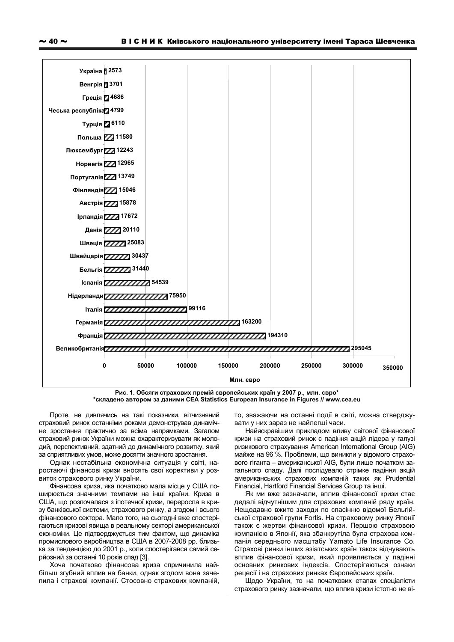

Рис. 1. Обсяги страхових премій європейських країн у 2007 р., млн. євро\* \*складено автором за даними CEA Statistics European Insurance in Figures // www.cea.eu

Проте, не дивлячись на такі показники, вітчизняний страховий ринок останніми роками демонстрував динамічне зростання практично за всіма напрямками. Загалом страховий ринок України можна охарактеризувати як молодий, перспективний, здатний до динамічного розвитку, який за сприятливих умов, може досягти значного зростання.

Однак нестабільна економічна ситуація у світі, наростаючі фінансові кризи вносять свої корективи у розвиток страхового ринку України.

Фінансова криза, яка початково мала місце у США поширюється значними темпами на інші країни. Криза в США, що розпочалася з іпотечної кризи, переросла в кризу банківської системи, страхового ринку, а згодом і всього фінансового сектора. Мало того, на сьогодні вже спостерігаються кризові явища в реальному секторі американської економіки. Це підтверджується тим фактом, що динаміка промислового виробництва в США в 2007-2008 рр. близька за тенденцією до 2001 р., коли спостерігався самий серйозний за останні 10 років спад [3].

Хоча початково фінансова криза спричинила найбільш згубний вплив на банки, однак згодом вона зачепила і страхові компанії. Стосовно страхових компаній, то, зважаючи на останні події в світі, можна стверджувати у них зараз не найлегші часи.

Найяскравішим прикладом вливу світової фінансової кризи на страховий ринок є падіння акцій лідера у галузі ризикового страхування American International Group (AIG) майже на 96 %. Проблеми, що виникли у відомого страхового гіганта - американської AIG, були лише початком загального спаду. Далі послідувало стрімке падіння акцій американських страхових компаній таких як Prudential Financial, Hartford Financial Services Group та інші.

Як ми вже зазначали, вплив фінансової кризи стає дедалі відчутнішим для страхових компаній ряду країн. Нещодавно вжито заходи по спасінню відомої Бельгійської страхової групи Fortis. На страховому ринку Японії також є жертви фінансової кризи. Першою страховою компанією в Японії, яка збанкрутіла була страхова компанія середнього масштабу Yamato Life Insurance Co. Страхові ринки інших азіатських країн також відчувають вплив фінансової кризи, який проявляється у падінні основних ринкових індексів. Спостерігаються ознаки рецесії і на страхових ринках Європейських країн.

Щодо України, то на початкових етапах спеціалісти страхового ринку зазначали, що вплив кризи істотно не ві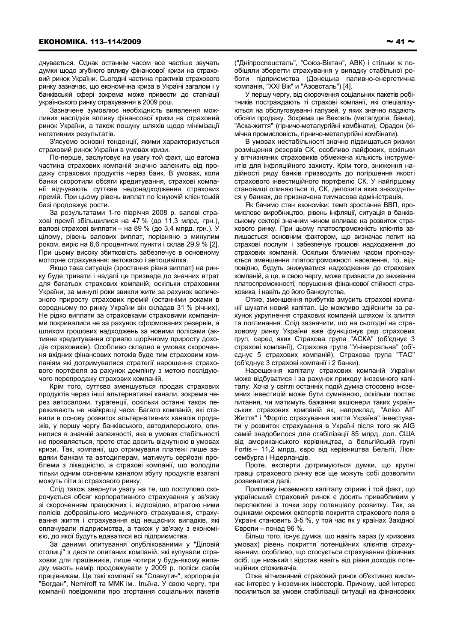дчувається. Однак останнім часом все частіше звучать думки щодо згубного впливу фінансової кризи на страховий ринок України. Сьогодні частина практиків страхового ринку зазначає, що економічна криза в Україні загалом і у банківській сфері зокрема може привести до стагнації українського ринку страхування в 2009 році.

Зазначене зумовлює необхідність виявлення можливих наслідків впливу фінансової кризи на страховий ринок України, а також пошуку шляхів щодо мінімізації негативних результатів.

З'ясуємо основні тенденції, якими характеризується страховий ринок України в умовах кризи.

По-перше, заслуговує на увагу той факт, що вагома частина страхових компаній значно залежить від продажу страхових продуктів через банк. В умовах, коли банки скоротили обсяги кредитування, страхові компанії відчувають суттєве недонадходження страхових премій. При цьому рівень виплат по існуючій клієнтській базі продовжує рости.

За результатами 1-го півріччя 2008 р. валові страхові премії збільшилися на 47 % (до 11.3 млрд. грн.). валові страхові виплати - на 89 % (до 3,4 млрд. грн.). У цілому, рівень валових виплат, порівняно з минулим роком, виріс на 6,6 процентних пункти і склав 29,9 % [2]. При цьому високу збитковість забезпечує в основному моторне страхування: автокаско і автоцивілка.

Якщо така ситуація (зростання рівня виплат) на ринку буде тривати і надалі це призведе до значних втрат для багатьох страхових компаній, оскільки страховики України, за минулі роки звикли жити за рахунок величезного приросту страхових премій (останніми роками в середньому по ринку України він складав 31 % річних). Не рідко виплати за страховками страховими компаніями покривалися не за рахунок сформованих резервів, а шляхом грошових надходжень за новими полісами (активне кредитування сприяло шорічному приросту доходів страховиків). Особливо складно в умовах скорочення вхідних фінансових потоків буде тим страховим компаніям які дотримувалися стратегії нарощення страхового портфеля за рахунок демпінгу з метою послідуючого перепродажу страхових компаній.

Крім того, суттєво зменшується продаж страхових продуктів через інші альтернативні канали, зокрема через автосалони, турагенції, оскільки останні також переживають не найкращі часи. Багато компаній, які ставили в основу розвиток альтернативних каналів продажів, у першу чергу банківського, автодилерського, опинилися в значній залежності, яка в умовах стабільності не проявляється, проте стає досить відчутною в умовах кризи. Так, компанії, що отримували платежі лише завдяки банкам та автодилерам, матимуть серйозні проблеми з ліквідністю, а страхові компанії, що володіли тільки одним основним каналом збуту продуктів взагалі можуть піти зі страхового ринку.

Слід також звернути увагу на те, що поступово скорочується обсяг корпоративного страхування у зв'язку зі скороченням працюючих і, відповідно, втратою ними полісів добровільного медичного страхування, страхування життя і страхування від нещасних випадків, які оплачували підприємства, а також у зв'язку з економією, до якої будуть вдаватися всі підприємства.

За даними опитування опублікованими у "Діловій столиці" з десяти опитаних компаній, які купували страховки для працівників, лише чотири у будь-якому випадку мають намір продовжувати у 2009 р. поліси своїм працівникам. Це такі компанії як "Славутич", корпорація "Богдан", Nemiroff та ММК ім.. Ільїна. У свою чергу, три компанії повідомили про згортання соціальних пакетів ("Дніпроспецсталь", "Союз-Віктан", АВК) і стільки ж пообіцяли зберегти страхування у випадку стабільної роботи підприємства (Донецька паливно-енергетична компанія, "XXI Вік" и "Азовсталь") [4].

У першу чергу, від скорочення соціальних пакетів робітників постраждають ті страхові компанії, які спеціалізуються на обслуговуванні галузей, у яких значно падають обсяги продажу. Зокрема це Вексель (металургія, банки), "Аска-життя" (гірничо-металургійні комбінати), Орадон (хімічна промисловість, гірничо-металургійні комбінати).

В умовах нестабільності значно підвищаться ризики розміщення резервів СК, особливо лайфових, оскільки у вітчизняних страховиків обмежена кількість інструментів для інфляційного захисту. Крім того, зниження надійності ряду банків призводить до погіршення якості страхового інвестиційного портфелю СК. У найгіршому становищі опиняються ті, СК, депозити яких знаходяться у банках, де призначена тимчасова адміністрація.

Як бачимо стан економіки: темп зростання ВВП, промислове виробництво, рівень інфляції, ситуація в банківському секторі значним чином впливає на розвиток страхового ринку. При цьому платоспроможність клієнтів залишається основним фактором, що визначає попит на страхові послуги і забезпечує грошові надходження до страхових компаній. Оскільки ближчим часом прогнозується зменшення платоспроможності населення, то, відповідно, будуть знижуватися надходження до страхових компаній, а це, в свою чергу, може призвести до зниження платоспроможності, порушення фінансової стійкості страховика, і навіть до його банкрутства.

Отже, зменшення прибутків змусить страхові компанії шукати новий капітал. Це можливо здійснити за рахунок укрупнення страхових компаній шляхом їх злиття та поглинання. Слід зазначити, що на сьогодні на страховому ринку України вже функціонує ряд страхових груп, серед яких Страхова група "АСКА" (об'єднує 3 страхові компанії), Страхова група "Універсальна" (об'єднує 5 страхових компаній), Страхова група "ТАС" (об'єднує 3 страхові компанії і 2 банки).

Нарощення капіталу страхових компаній України може відбуватися і за рахунок приходу іноземного капіталу. Хоча у світлі останніх подій думка стосовно іноземних інвестицій може бути сумнівною, оскільки постає питання, чи матимуть бажання акціонери таких українських страхових компаній як, наприклад, "Аліко АІГ Життя" і "Фортіс страхування життя Україна" інвестувати у розвиток страхування в Україні після того як AIG самій знадобилося для стабілізації 85 млрд. дол. США від американського керівництва, а бельгійській групі Fortis - 11,2 млрд. євро від керівництва Бельгії, Люксембурга і Нідерландів.

Проте, експерти дотримуються думки, що крупні гравці страхового ринку все ще можуть собі дозволити розвиватися далі.

Припливу іноземного капіталу сприяє і той факт, що український страховий ринок є досить привабливим у перспективі з точки зору потенціалу розвитку. Так, за оцінками окремих експертів покриття страхового поля в Україні становить 3-5 %, у той час як у країнах Західної Європи - понад 96 %.

Більш того, існує думка, що навіть зараз (у кризових умовах) рівень покриття потенційних клієнтів страхуванням, особливо, що стосується страхування фізичних осіб, ще низький і відстає навіть від рівня доходів потенційних споживачів.

Отже вітчизняний страховий ринок об'єктивно викликає інтерес у іноземних інвесторів. Причому, цей інтерес посилиться за умови стабілізації ситуації на фінансових